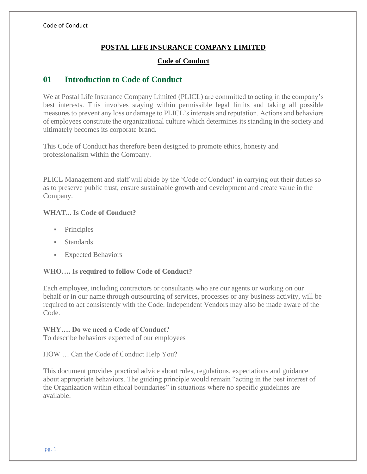# **POSTAL LIFE INSURANCE COMPANY LIMITED**

# **Code of Conduct**

# **01 Introduction to Code of Conduct**

We at Postal Life Insurance Company Limited (PLICL) are committed to acting in the company's best interests. This involves staying within permissible legal limits and taking all possible measures to prevent any loss or damage to PLICL's interests and reputation. Actions and behaviors of employees constitute the organizational culture which determines its standing in the society and ultimately becomes its corporate brand.

This Code of Conduct has therefore been designed to promote ethics, honesty and professionalism within the Company.

PLICL Management and staff will abide by the 'Code of Conduct' in carrying out their duties so as to preserve public trust, ensure sustainable growth and development and create value in the Company.

# **WHAT... Is Code of Conduct?**

- Principles
- **Standards**
- **Expected Behaviors**

## **WHO…. Is required to follow Code of Conduct?**

Each employee, including contractors or consultants who are our agents or working on our behalf or in our name through outsourcing of services, processes or any business activity, will be required to act consistently with the Code. Independent Vendors may also be made aware of the Code.

## **WHY…. Do we need a Code of Conduct?**

To describe behaviors expected of our employees

HOW … Can the Code of Conduct Help You?

This document provides practical advice about rules, regulations, expectations and guidance about appropriate behaviors. The guiding principle would remain "acting in the best interest of the Organization within ethical boundaries" in situations where no specific guidelines are available.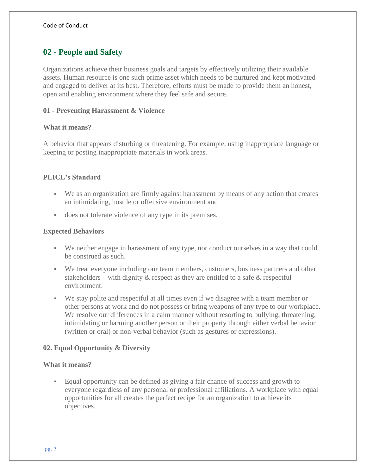# **02 - People and Safety**

Organizations achieve their business goals and targets by effectively utilizing their available assets. Human resource is one such prime asset which needs to be nurtured and kept motivated and engaged to deliver at its best. Therefore, efforts must be made to provide them an honest, open and enabling environment where they feel safe and secure.

#### **01 - Preventing Harassment & Violence**

#### **What it means?**

A behavior that appears disturbing or threatening. For example, using inappropriate language or keeping or posting inappropriate materials in work areas.

## **PLICL's Standard**

- We as an organization are firmly against harassment by means of any action that creates an intimidating, hostile or offensive environment and
- does not tolerate violence of any type in its premises.

#### **Expected Behaviors**

- We neither engage in harassment of any type, nor conduct ourselves in a way that could be construed as such.
- We treat everyone including our team members, customers, business partners and other stakeholders—with dignity & respect as they are entitled to a safe & respectful environment.
- We stay polite and respectful at all times even if we disagree with a team member or other persons at work and do not possess or bring weapons of any type to our workplace. We resolve our differences in a calm manner without resorting to bullying, threatening, intimidating or harming another person or their property through either verbal behavior (written or oral) or non-verbal behavior (such as gestures or expressions).

## **02. Equal Opportunity & Diversity**

#### **What it means?**

▪ Equal opportunity can be defined as giving a fair chance of success and growth to everyone regardless of any personal or professional affiliations. A workplace with equal opportunities for all creates the perfect recipe for an organization to achieve its objectives.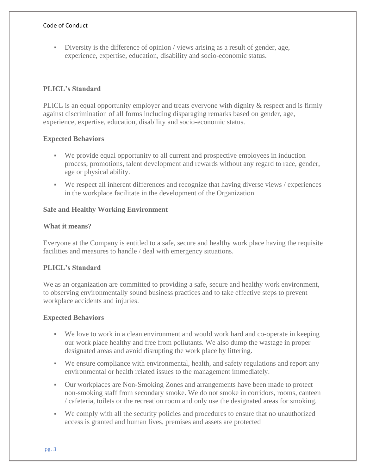$\blacksquare$  Diversity is the difference of opinion / views arising as a result of gender, age, experience, expertise, education, disability and socio-economic status.

# **PLICL's Standard**

PLICL is an equal opportunity employer and treats everyone with dignity & respect and is firmly against discrimination of all forms including disparaging remarks based on gender, age, experience, expertise, education, disability and socio-economic status.

# **Expected Behaviors**

- We provide equal opportunity to all current and prospective employees in induction process, promotions, talent development and rewards without any regard to race, gender, age or physical ability.
- We respect all inherent differences and recognize that having diverse views / experiences in the workplace facilitate in the development of the Organization.

## **Safe and Healthy Working Environment**

# **What it means?**

Everyone at the Company is entitled to a safe, secure and healthy work place having the requisite facilities and measures to handle / deal with emergency situations.

# **PLICL's Standard**

We as an organization are committed to providing a safe, secure and healthy work environment, to observing environmentally sound business practices and to take effective steps to prevent workplace accidents and injuries.

- We love to work in a clean environment and would work hard and co-operate in keeping our work place healthy and free from pollutants. We also dump the wastage in proper designated areas and avoid disrupting the work place by littering.
- We ensure compliance with environmental, health, and safety regulations and report any environmental or health related issues to the management immediately.
- Our workplaces are Non-Smoking Zones and arrangements have been made to protect non-smoking staff from secondary smoke. We do not smoke in corridors, rooms, canteen / cafeteria, toilets or the recreation room and only use the designated areas for smoking.
- We comply with all the security policies and procedures to ensure that no unauthorized access is granted and human lives, premises and assets are protected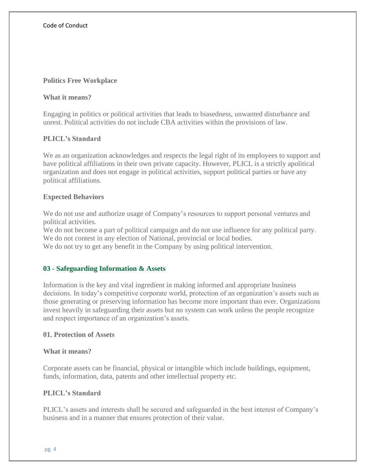#### **Politics Free Workplace**

#### **What it means?**

Engaging in politics or political activities that leads to biasedness, unwanted disturbance and unrest. Political activities do not include CBA activities within the provisions of law.

## **PLICL's Standard**

We as an organization acknowledges and respects the legal right of its employees to support and have political affiliations in their own private capacity. However, PLICL is a strictly apolitical organization and does not engage in political activities, support political parties or have any political affiliations.

#### **Expected Behaviors**

We do not use and authorize usage of Company's resources to support personal ventures and political activities.

We do not become a part of political campaign and do not use influence for any political party. We do not contest in any election of National, provincial or local bodies.

We do not try to get any benefit in the Company by using political intervention.

#### **03 - Safeguarding Information & Assets**

Information is the key and vital ingredient in making informed and appropriate business decisions. In today's competitive corporate world, protection of an organization's assets such as those generating or preserving information has become more important than ever. Organizations invest heavily in safeguarding their assets but no system can work unless the people recognize and respect importance of an organization's assets.

#### **01. Protection of Assets**

#### **What it means?**

Corporate assets can be financial, physical or intangible which include buildings, equipment, funds, information, data, patents and other intellectual property etc.

#### **PLICL's Standard**

PLICL's assets and interests shall be secured and safeguarded in the best interest of Company's business and in a manner that ensures protection of their value.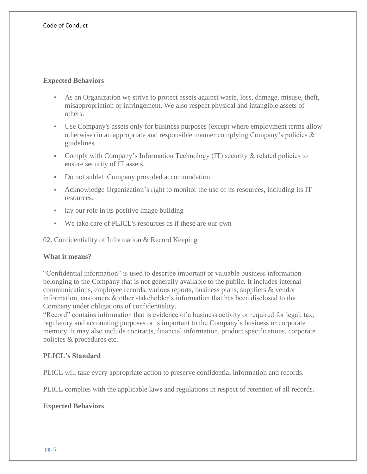## **Expected Behaviors**

- As an Organization we strive to protect assets against waste, loss, damage, misuse, theft, misappropriation or infringement. We also respect physical and intangible assets of others.
- Use Company's assets only for business purposes (except where employment terms allow otherwise) in an appropriate and responsible manner complying Company's policies & guidelines.
- Comply with Company's Information Technology (IT) security & related policies to ensure security of IT assets.
- Do not sublet Company provided accommodation.
- Acknowledge Organization's right to monitor the use of its resources, including its IT resources.
- lay our role in its positive image building
- We take care of PLICL's resources as if these are our own

02. Confidentiality of Information & Record Keeping

## **What it means?**

"Confidential information" is used to describe important or valuable business information belonging to the Company that is not generally available to the public. It includes internal communications, employee records, various reports, business plans, suppliers & vendor information, customers & other stakeholder's information that has been disclosed to the Company under obligations of confidentiality.

"Record" contains information that is evidence of a business activity or required for legal, tax, regulatory and accounting purposes or is important to the Company's business or corporate memory. It may also include contracts, financial information, product specifications, corporate policies & procedures etc.

## **PLICL's Standard**

PLICL will take every appropriate action to preserve confidential information and records.

PLICL complies with the applicable laws and regulations in respect of retention of all records.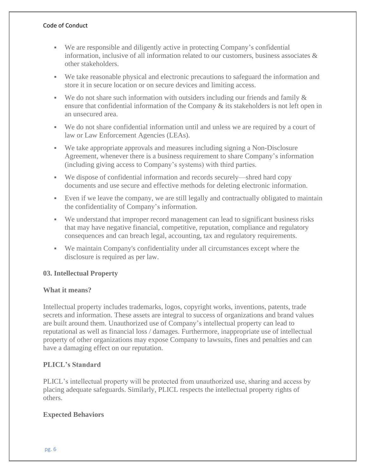- We are responsible and diligently active in protecting Company's confidential information, inclusive of all information related to our customers, business associates  $\&$ other stakeholders.
- We take reasonable physical and electronic precautions to safeguard the information and store it in secure location or on secure devices and limiting access.
- **•** We do not share such information with outsiders including our friends and family  $\&$ ensure that confidential information of the Company & its stakeholders is not left open in an unsecured area.
- We do not share confidential information until and unless we are required by a court of law or Law Enforcement Agencies (LEAs).
- We take appropriate approvals and measures including signing a Non-Disclosure Agreement, whenever there is a business requirement to share Company's information (including giving access to Company's systems) with third parties.
- We dispose of confidential information and records securely—shred hard copy documents and use secure and effective methods for deleting electronic information.
- Even if we leave the company, we are still legally and contractually obligated to maintain the confidentiality of Company's information.
- We understand that improper record management can lead to significant business risks that may have negative financial, competitive, reputation, compliance and regulatory consequences and can breach legal, accounting, tax and regulatory requirements.
- We maintain Company's confidentiality under all circumstances except where the disclosure is required as per law.

# **03. Intellectual Property**

## **What it means?**

Intellectual property includes trademarks, logos, copyright works, inventions, patents, trade secrets and information. These assets are integral to success of organizations and brand values are built around them. Unauthorized use of Company's intellectual property can lead to reputational as well as financial loss / damages. Furthermore, inappropriate use of intellectual property of other organizations may expose Company to lawsuits, fines and penalties and can have a damaging effect on our reputation.

# **PLICL's Standard**

PLICL's intellectual property will be protected from unauthorized use, sharing and access by placing adequate safeguards. Similarly, PLICL respects the intellectual property rights of others.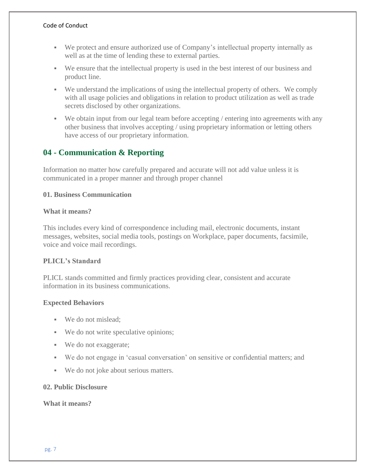- We protect and ensure authorized use of Company's intellectual property internally as well as at the time of lending these to external parties.
- We ensure that the intellectual property is used in the best interest of our business and product line.
- We understand the implications of using the intellectual property of others. We comply with all usage policies and obligations in relation to product utilization as well as trade secrets disclosed by other organizations.
- We obtain input from our legal team before accepting / entering into agreements with any other business that involves accepting / using proprietary information or letting others have access of our proprietary information.

# **04 - Communication & Reporting**

Information no matter how carefully prepared and accurate will not add value unless it is communicated in a proper manner and through proper channel

## **01. Business Communication**

## **What it means?**

This includes every kind of correspondence including mail, electronic documents, instant messages, websites, social media tools, postings on Workplace, paper documents, facsimile, voice and voice mail recordings.

## **PLICL's Standard**

PLICL stands committed and firmly practices providing clear, consistent and accurate information in its business communications.

# **Expected Behaviors**

- We do not mislead;
- We do not write speculative opinions;
- We do not exaggerate;
- We do not engage in 'casual conversation' on sensitive or confidential matters; and
- We do not joke about serious matters.

# **02. Public Disclosure**

## **What it means?**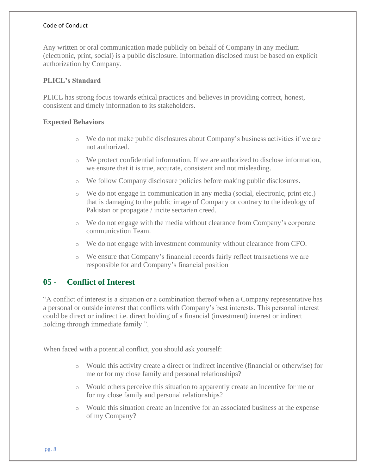Any written or oral communication made publicly on behalf of Company in any medium (electronic, print, social) is a public disclosure. Information disclosed must be based on explicit authorization by Company.

#### **PLICL's Standard**

PLICL has strong focus towards ethical practices and believes in providing correct, honest, consistent and timely information to its stakeholders.

#### **Expected Behaviors**

- o We do not make public disclosures about Company's business activities if we are not authorized.
- o We protect confidential information. If we are authorized to disclose information, we ensure that it is true, accurate, consistent and not misleading.
- o We follow Company disclosure policies before making public disclosures.
- o We do not engage in communication in any media (social, electronic, print etc.) that is damaging to the public image of Company or contrary to the ideology of Pakistan or propagate / incite sectarian creed.
- o We do not engage with the media without clearance from Company's corporate communication Team.
- o We do not engage with investment community without clearance from CFO.
- o We ensure that Company's financial records fairly reflect transactions we are responsible for and Company's financial position

# **05 - Conflict of Interest**

"A conflict of interest is a situation or a combination thereof when a Company representative has a personal or outside interest that conflicts with Company's best interests. This personal interest could be direct or indirect i.e. direct holding of a financial (investment) interest or indirect holding through immediate family ".

When faced with a potential conflict, you should ask yourself:

- o Would this activity create a direct or indirect incentive (financial or otherwise) for me or for my close family and personal relationships?
- o Would others perceive this situation to apparently create an incentive for me or for my close family and personal relationships?
- o Would this situation create an incentive for an associated business at the expense of my Company?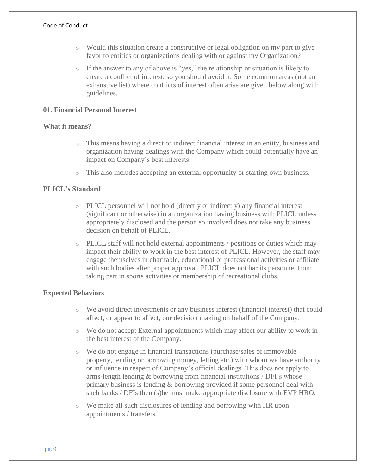- o Would this situation create a constructive or legal obligation on my part to give favor to entities or organizations dealing with or against my Organization?
- o If the answer to any of above is "yes," the relationship or situation is likely to create a conflict of interest, so you should avoid it. Some common areas (not an exhaustive list) where conflicts of interest often arise are given below along with guidelines.

#### **01. Financial Personal Interest**

#### **What it means?**

- o This means having a direct or indirect financial interest in an entity, business and organization having dealings with the Company which could potentially have an impact on Company's best interests.
- o This also includes accepting an external opportunity or starting own business.

## **PLICL's Standard**

- o PLICL personnel will not hold (directly or indirectly) any financial interest (significant or otherwise) in an organization having business with PLICL unless appropriately disclosed and the person so involved does not take any business decision on behalf of PLICL.
- o PLICL staff will not hold external appointments / positions or duties which may impact their ability to work in the best interest of PLICL. However, the staff may engage themselves in charitable, educational or professional activities or affiliate with such bodies after proper approval. PLICL does not bar its personnel from taking part in sports activities or membership of recreational clubs.

- o We avoid direct investments or any business interest (financial interest) that could affect, or appear to affect, our decision making on behalf of the Company.
- o We do not accept External appointments which may affect our ability to work in the best interest of the Company.
- o We do not engage in financial transactions (purchase/sales of immovable property, lending or borrowing money, letting etc.) with whom we have authority or influence in respect of Company's official dealings. This does not apply to arms-length lending & borrowing from financial institutions / DFI's whose primary business is lending & borrowing provided if some personnel deal with such banks / DFIs then (s)he must make appropriate disclosure with EVP HRO.
- o We make all such disclosures of lending and borrowing with HR upon appointments / transfers.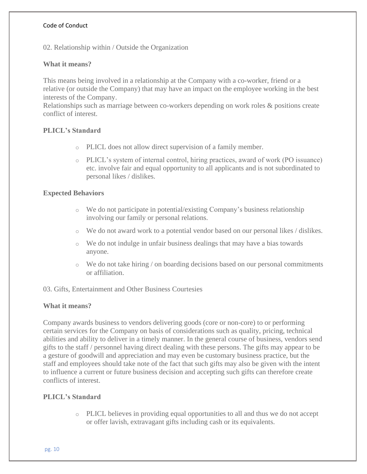02. Relationship within / Outside the Organization

## **What it means?**

This means being involved in a relationship at the Company with a co-worker, friend or a relative (or outside the Company) that may have an impact on the employee working in the best interests of the Company.

Relationships such as marriage between co-workers depending on work roles & positions create conflict of interest.

## **PLICL's Standard**

- o PLICL does not allow direct supervision of a family member.
- o PLICL's system of internal control, hiring practices, award of work (PO issuance) etc. involve fair and equal opportunity to all applicants and is not subordinated to personal likes / dislikes.

#### **Expected Behaviors**

- o We do not participate in potential/existing Company's business relationship involving our family or personal relations.
- o We do not award work to a potential vendor based on our personal likes / dislikes.
- o We do not indulge in unfair business dealings that may have a bias towards anyone.
- $\circ$  We do not take hiring / on boarding decisions based on our personal commitments or affiliation.

#### 03. Gifts, Entertainment and Other Business Courtesies

## **What it means?**

Company awards business to vendors delivering goods (core or non-core) to or performing certain services for the Company on basis of considerations such as quality, pricing, technical abilities and ability to deliver in a timely manner. In the general course of business, vendors send gifts to the staff / personnel having direct dealing with these persons. The gifts may appear to be a gesture of goodwill and appreciation and may even be customary business practice, but the staff and employees should take note of the fact that such gifts may also be given with the intent to influence a current or future business decision and accepting such gifts can therefore create conflicts of interest.

## **PLICL's Standard**

o PLICL believes in providing equal opportunities to all and thus we do not accept or offer lavish, extravagant gifts including cash or its equivalents.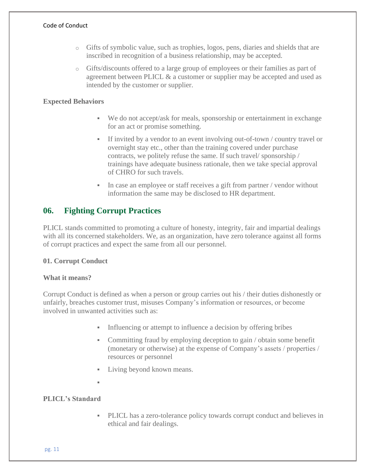- o Gifts of symbolic value, such as trophies, logos, pens, diaries and shields that are inscribed in recognition of a business relationship, may be accepted.
- o Gifts/discounts offered to a large group of employees or their families as part of agreement between PLICL & a customer or supplier may be accepted and used as intended by the customer or supplier.

# **Expected Behaviors**

- We do not accept/ask for meals, sponsorship or entertainment in exchange for an act or promise something.
- If invited by a vendor to an event involving out-of-town / country travel or overnight stay etc., other than the training covered under purchase contracts, we politely refuse the same. If such travel/ sponsorship / trainings have adequate business rationale, then we take special approval of CHRO for such travels.
- In case an employee or staff receives a gift from partner / vendor without information the same may be disclosed to HR department.

# **06. Fighting Corrupt Practices**

PLICL stands committed to promoting a culture of honesty, integrity, fair and impartial dealings with all its concerned stakeholders. We, as an organization, have zero tolerance against all forms of corrupt practices and expect the same from all our personnel.

## **01. Corrupt Conduct**

## **What it means?**

Corrupt Conduct is defined as when a person or group carries out his / their duties dishonestly or unfairly, breaches customer trust, misuses Company's information or resources, or become involved in unwanted activities such as:

- Influencing or attempt to influence a decision by offering bribes
- Committing fraud by employing deception to gain / obtain some benefit (monetary or otherwise) at the expense of Company's assets / properties / resources or personnel
- **•** Living beyond known means.
- ▪

# **PLICL's Standard**

PLICL has a zero-tolerance policy towards corrupt conduct and believes in ethical and fair dealings.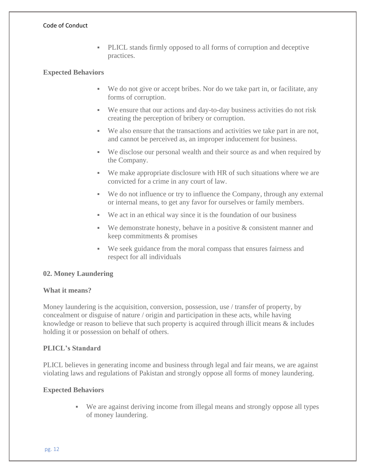▪ PLICL stands firmly opposed to all forms of corruption and deceptive practices.

#### **Expected Behaviors**

- We do not give or accept bribes. Nor do we take part in, or facilitate, any forms of corruption.
- We ensure that our actions and day-to-day business activities do not risk creating the perception of bribery or corruption.
- We also ensure that the transactions and activities we take part in are not, and cannot be perceived as, an improper inducement for business.
- We disclose our personal wealth and their source as and when required by the Company.
- We make appropriate disclosure with HR of such situations where we are convicted for a crime in any court of law.
- We do not influence or try to influence the Company, through any external or internal means, to get any favor for ourselves or family members.
- We act in an ethical way since it is the foundation of our business
- $\bullet$  We demonstrate honesty, behave in a positive  $\&$  consistent manner and keep commitments & promises
- We seek guidance from the moral compass that ensures fairness and respect for all individuals

## **02. Money Laundering**

## **What it means?**

Money laundering is the acquisition, conversion, possession, use / transfer of property, by concealment or disguise of nature / origin and participation in these acts, while having knowledge or reason to believe that such property is acquired through illicit means & includes holding it or possession on behalf of others.

## **PLICL's Standard**

PLICL believes in generating income and business through legal and fair means, we are against violating laws and regulations of Pakistan and strongly oppose all forms of money laundering.

## **Expected Behaviors**

▪ We are against deriving income from illegal means and strongly oppose all types of money laundering.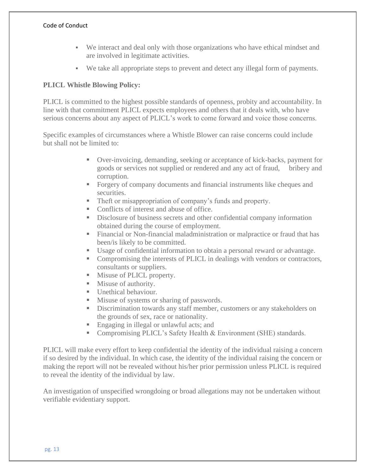- We interact and deal only with those organizations who have ethical mindset and are involved in legitimate activities.
- We take all appropriate steps to prevent and detect any illegal form of payments.

# **PLICL Whistle Blowing Policy:**

PLICL is committed to the highest possible standards of openness, probity and accountability. In line with that commitment PLICL expects employees and others that it deals with, who have serious concerns about any aspect of PLICL's work to come forward and voice those concerns.

Specific examples of circumstances where a Whistle Blower can raise concerns could include but shall not be limited to:

- Over-invoicing, demanding, seeking or acceptance of kick-backs, payment for goods or services not supplied or rendered and any act of fraud, bribery and corruption.
- Forgery of company documents and financial instruments like cheques and securities.
- Theft or misappropriation of company's funds and property.
- Conflicts of interest and abuse of office.
- Disclosure of business secrets and other confidential company information obtained during the course of employment.
- **Exercise 1** Financial or Non-financial maladministration or malpractice or fraud that has been/is likely to be committed.
- Usage of confidential information to obtain a personal reward or advantage.
- Compromising the interests of PLICL in dealings with vendors or contractors, consultants or suppliers.
- **■** Misuse of PLICL property.
- Misuse of authority.
- **■** Unethical behaviour.
- Misuse of systems or sharing of passwords.
- **EXECUTE:** Discrimination towards any staff member, customers or any stakeholders on the grounds of sex, race or nationality.
- Engaging in illegal or unlawful acts; and
- Compromising PLICL's Safety Health & Environment (SHE) standards.

PLICL will make every effort to keep confidential the identity of the individual raising a concern if so desired by the individual. In which case, the identity of the individual raising the concern or making the report will not be revealed without his/her prior permission unless PLICL is required to reveal the identity of the individual by law.

An investigation of unspecified wrongdoing or broad allegations may not be undertaken without verifiable evidentiary support.